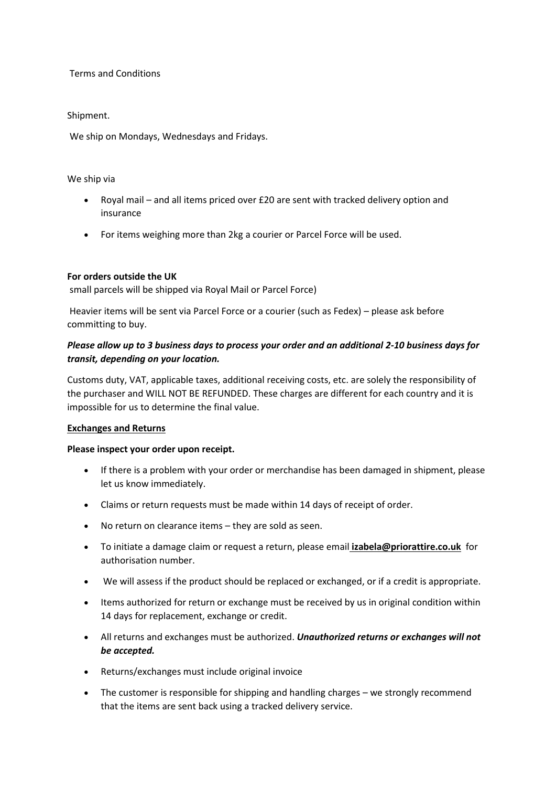Terms and Conditions

Shipment.

We ship on Mondays, Wednesdays and Fridays.

# We ship via

- Royal mail and all items priced over £20 are sent with tracked delivery option and insurance
- For items weighing more than 2kg a courier or Parcel Force will be used.

# **For orders outside the UK**

small parcels will be shipped via Royal Mail or Parcel Force)

Heavier items will be sent via Parcel Force or a courier (such as Fedex) – please ask before committing to buy.

# *Please allow up to 3 business days to process your order and an additional 2-10 business days for transit, depending on your location.*

Customs duty, VAT, applicable taxes, additional receiving costs, etc. are solely the responsibility of the purchaser and WILL NOT BE REFUNDED. These charges are different for each country and it is impossible for us to determine the final value.

# **Exchanges and Returns**

# **Please inspect your order upon receipt.**

- If there is a problem with your order or merchandise has been damaged in shipment, please let us know immediately.
- Claims or return requests must be made within 14 days of receipt of order.
- No return on clearance items they are sold as seen.
- To initiate a damage claim or request a return, please email **izabela@priorattire.co.uk** for authorisation number.
- We will assess if the product should be replaced or exchanged, or if a credit is appropriate.
- Items authorized for return or exchange must be received by us in original condition within 14 days for replacement, exchange or credit.
- All returns and exchanges must be authorized. *Unauthorized returns or exchanges will not be accepted.*
- Returns/exchanges must include original invoice
- The customer is responsible for shipping and handling charges we strongly recommend that the items are sent back using a tracked delivery service.